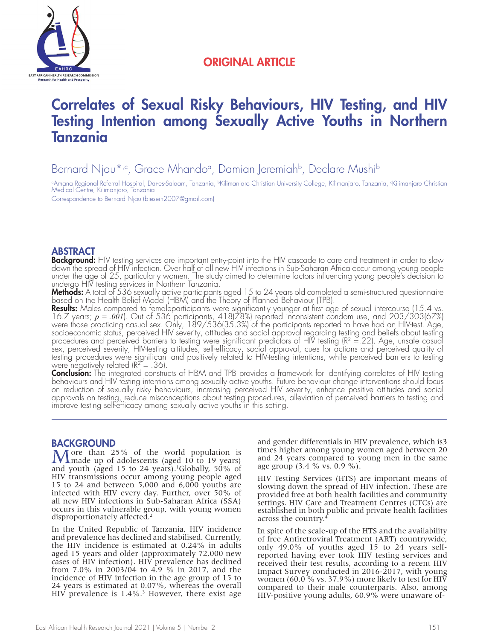

## ORIGINAL ARTICLE

# Correlates of Sexual Risky Behaviours, HIV Testing, and HIV Testing Intention among Sexually Active Youths in Northern Tanzania

Bernard Njau\*<sub>'</sub>c, Grace Mhandoª, Damian Jeremiah<sup>b</sup>, Declare Mushi<sup>b</sup>

ªAmana Regional Referral Hospital, Dar-es-Salaam, Tanzania, ʰKilimanjaro Christian University College, Kilimanjaro, Tanzania, ʿKilimanjaro Christian Medical Centre, Kilimanjaro, Tanzania

Correspondence to Bernard Njau (biesein2007@gmail.com)

#### ABSTRACT

**Background:** HIV testing services are important entry-point into the HIV cascade to care and treatment in order to slow down the spread of HIV infection. Over half of all new HIV infections in Sub-Saharan Africa occur among young people under the age of 25, particularly women. The study aimed to determine factors influencing young people's decision to undergo HIV testing services in Northern Tanzania.

**Methods:** A total of 536 sexually active participants aged 15 to 24 years old completed a semi-structured questionnaire based on the Health Belief Model (HBM) and the Theory of Planned Behaviour (TPB).

**Results:** Males compared to femaleparticipants were significantly younger at first age of sexual intercourse (15.4 vs. 16.7 years; *p = .001*). Out of 536 participants, 418(78%) reported inconsistent condom use, and 203/303(67%) were those practicing casual sex. Only, 189/536(35.3%) of the participants reported to have had an HIV-test. Age, socioeconomic status, perceived HIV severity, attitudes and social approval regarding testing and beliefs about testing procedures and perceived barriers to testing were significant predictors of HIV testing ( $R^2 = 22$ ). Age, unsafe casual sex, perceived severity, HIV-testing attitudes, self-efficacy, social approval, cues for actions and perceived quality of testing procedures were significant and positively related to HIV-testing intentions, while perceived barriers to testing were negatively related ( $R^2 = .36$ ).

Conclusion: The integrated constructs of HBM and TPB provides a framework for identifying correlates of HIV testing behaviours and HIV testing intentions among sexually active youths. Future behaviour change interventions should focus on reduction of sexually risky behaviours, increasing perceived HIV severity, enhance positive attitudes and social approvals on testing, reduce misconceptions about testing procedures, alleviation of perceived barriers to testing and improve testing self-efficacy among sexually active youths in this setting.

**BACKGROUND**<br> $M^{pre}$  than 25% of the world population is More than 25% of the world population is<br>
made up of adolescents (aged 10 to 19 years) and youth (aged 15 to 24 years).<sup>1</sup>Globally, 50% of HIV transmissions occur among young people aged 15 to 24 and between 5,000 and 6,000 youths are infected with HIV every day. Further, over 50% of all new HIV infections in Sub-Saharan Africa (SSA) occurs in this vulnerable group, with young women disproportionately affected.<sup>2</sup>

In the United Republic of Tanzania, HIV incidence and prevalence has declined and stabilised. Currently, the HIV incidence is estimated at 0.24% in adults aged 15 years and older (approximately 72,000 new cases of HIV infection). HIV prevalence has declined from 7.0% in 2003/04 to 4.9 % in 2017, and the incidence of HIV infection in the age group of 15 to 24 years is estimated at 0.07%, whereas the overall HIV prevalence is  $1.4\%$ .<sup>3</sup> However, there exist age and gender differentials in HIV prevalence, which is3 times higher among young women aged between 20 and 24 years compared to young men in the same age group (3.4 % vs. 0.9 %).

HIV Testing Services (HTS) are important means of slowing down the spread of HIV infection. These are provided free at both health facilities and community settings. HIV Care and Treatment Centres (CTCs) are established in both public and private health facilities across the country.4

In spite of the scale-up of the HTS and the availability of free Antiretroviral Treatment (ART) countrywide, only 49.0% of youths aged 15 to 24 years selfreported having ever took HIV testing services and received their test results, according to a recent HIV Impact Survey conducted in 2016-2017, with young women (60.0 % vs. 37.9%) more likely to test for HIV compared to their male counterparts. Also, among HIV-positive young adults, 60.9% were unaware of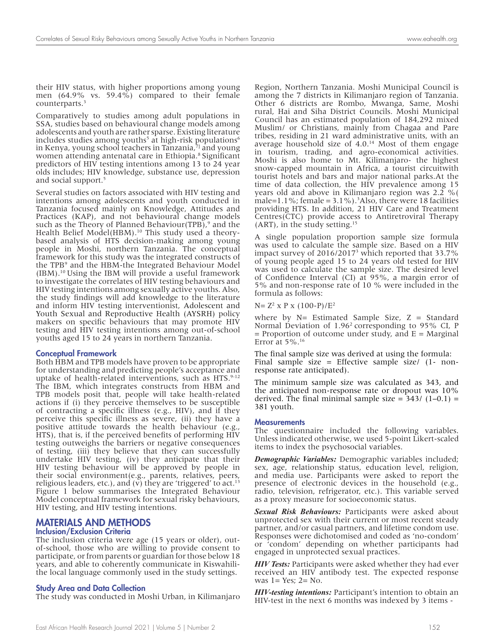their HIV status, with higher proportions among young men (64.9% vs. 59.4%) compared to their female counterparts.<sup>3</sup>

Comparatively to studies among adult populations in SSA, studies based on behavioural change models among adolescents and youth are rather sparse. Existing literature includes studies among youths<sup>5</sup> at high-risk populations<sup>6</sup> in Kenya, young school teachers in Tanzania,<sup>71</sup> and young women attending antenatal care in Ethiopia.<sup>8</sup> Significant predictors of HIV testing intentions among 13 to 24 year olds includes; HIV knowledge, substance use, depression and social support.5

Several studies on factors associated with HIV testing and intentions among adolescents and youth conducted in Tanzania focused mainly on Knowledge, Attitudes and Practices (KAP), and not behavioural change models such as the Theory of Planned Behaviour(TPB), $9$  and the Health Belief Model(HBM).<sup>10</sup> This study used a theorybased analysis of HTS decision-making among young people in Moshi, northern Tanzania. The conceptual framework for this study was the integrated constructs of the TPB9 and the HBM-the Integrated Behaviour Model (IBM).10 Using the IBM will provide a useful framework to investigate the correlates of HIV testing behaviours and HIV testing intentions among sexually active youths. Also, the study findings will add knowledge to the literature and inform HIV testing interventionist, Adolescent and Youth Sexual and Reproductive Health (AYSRH) policy makers on specific behaviours that may promote HIV testing and HIV testing intentions among out-of-school youths aged 15 to 24 years in northern Tanzania.

#### Conceptual Framework

Both HBM and TPB models have proven to be appropriate for understanding and predicting people's acceptance and uptake of health-related interventions, such as HTS.<sup>9-12</sup> The IBM, which integrates constructs from HBM and TPB models posit that, people will take health-related actions if (i) they perceive themselves to be susceptible of contracting a specific illness (e.g., HIV), and if they perceive this specific illness as severe, (ii) they have a positive attitude towards the health behaviour (e.g., HTS), that is, if the perceived benefits of performing HIV testing outweighs the barriers or negative consequences of testing, (iii) they believe that they can successfully undertake HIV testing, (iv) they anticipate that their HIV testing behaviour will be approved by people in their social environment(e.g., parents, relatives, peers, religious leaders, etc.), and ( $v$ ) they are 'triggered' to act.<sup>13</sup> Figure 1 below summarises the Integrated Behaviour Model conceptual framework for sexual risky behaviours, HIV testing, and HIV testing intentions.

### MATERIALS AND METHODS

#### Inclusion/Exclusion Criteria

The inclusion criteria were age (15 years or older), outof-school, those who are willing to provide consent to participate, or from parents or guardian for those below 18 years, and able to coherently communicate in Kiswahilithe local language commonly used in the study settings.

#### Study Area and Data Collection

The study was conducted in Moshi Urban, in Kilimanjaro

Region, Northern Tanzania. Moshi Municipal Council is among the 7 districts in Kilimanjaro region of Tanzania. Other 6 districts are Rombo, Mwanga, Same, Moshi rural, Hai and Siha District Councils. Moshi Municipal Council has an estimated population of 184,292 mixed Muslim/ or Christians, mainly from Chagaa and Pare tribes, residing in 21 ward administrative units, with an average household size of 4.0.<sup>14</sup> Most of them engage in tourism, trading, and agro-economical activities. Moshi is also home to Mt. Kilimanjaro- the highest snow-capped mountain in Africa, a tourist circuitwith tourist hotels and bars and major national parks.At the time of data collection, the HIV prevalence among 15 years old and above in Kilimanjaro region was 2.2 %( male= $1.1\%$ ; female =  $3.1\%$ ).<sup>3</sup>Also, there were 18 facilities providing HTS. In addition, 21 HIV Care and Treatment Centres(CTC) provide access to Antiretroviral Therapy (ART), in the study setting.15

A single population proportion sample size formula was used to calculate the sample size. Based on a HIV impact survey of 2016/20173 which reported that 33.7% of young people aged 15 to 24 years old tested for HIV was used to calculate the sample size. The desired level of Confidence Interval (CI) at 95%, a margin error of 5% and non-response rate of 10 % were included in the formula as follows:

 $N= Z^2$  x P x (100-P)/ $E^2$ 

where by  $N=$  Estimated Sample Size,  $Z =$  Standard Normal Deviation of 1.962 corresponding to 95% CI, P  $=$  Proportion of outcome under study, and  $E =$  Marginal Error at 5%.16

The final sample size was derived at using the formula: Final sample size = Effective sample size/ (1- nonresponse rate anticipated).

The minimum sample size was calculated as 343, and the anticipated non-response rate or dropout was 10% derived. The final minimal sample size =  $343/(1-0.1)$  = 381 youth.

#### **Measurements**

The questionnaire included the following variables. Unless indicated otherwise, we used 5-point Likert-scaled items to index the psychosocial variables.

*Demographic Variables:* Demographic variables included; sex, age, relationship status, education level, religion, and media use. Participants were asked to report the presence of electronic devices in the household (e.g., radio, television, refrigerator, etc.). This variable served as a proxy measure for socioeconomic status.

*Sexual Risk Behaviours:* Participants were asked about unprotected sex with their current or most recent steady partner, and/or casual partners, and lifetime condom use. Responses were dichotomised and coded as 'no-condom' or 'condom' depending on whether participants had engaged in unprotected sexual practices.

*HIV Tests:* Participants were asked whether they had ever received an HIV antibody test. The expected response was  $l = Yes$ ;  $2 = No$ .

*HIV-testing intentions:* Participant's intention to obtain an HIV-test in the next 6 months was indexed by 3 items -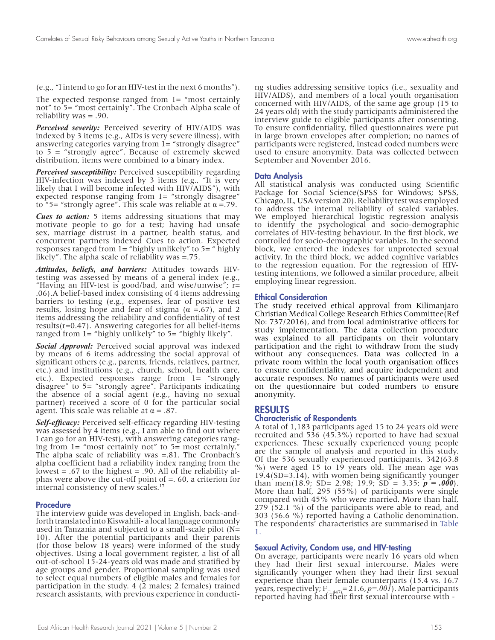(e.g., "I intend to go for an HIV-test in the next 6 months").

The expected response ranged from 1= "most certainly not" to 5= "most certainly". The Cronbach Alpha scale of reliability was = .90.

*Perceived severity:* Perceived severity of HIV/AIDS was indexed by 3 items (e.g., AIDs is very severe illness), with answering categories varying from 1= "strongly disagree" to 5 = "strongly agree". Because of extremely skewed distribution, items were combined to a binary index.

*Perceived susceptibility:* Perceived susceptibility regarding HIV-infection was indexed by 3 items (e.g., "It is very likely that I will become infected with HIV/AIDS"), with expected response ranging from  $l =$  "strongly disagree" to "5= "strongly agree". This scale was reliable at α =.79.

*Cues to action:* 5 items addressing situations that may motivate people to go for a test; having had unsafe sex, marriage distrust in a partner, health status, and concurrent partners indexed Cues to action. Expected responses ranged from  $l =$  "highly unlikely" to  $5 =$  " highly likely". The alpha scale of reliability was =.75.

*Attitudes, beliefs, and barriers:* Attitudes towards HIVtesting was assessed by means of a general index (e.g., "Having an HIV-test is good/bad, and wise/unwise"; r= .06).A belief-based index consisting of 4 items addressing barriers to testing (e.g., expenses, fear of positive test results, losing hope and fear of stigma ( $\alpha = .67$ ), and 2 items addressing the reliability and confidentiality of test results(r=0.47). Answering categories for all belief-items ranged from  $l$  = "highly unlikely" to  $5$  = "highly likely".

*Social Approval:* Perceived social approval was indexed by means of 6 items addressing the social approval of significant others (e.g., parents, friends, relatives, partner, etc.) and institutions (e.g., church, school, health care, etc.). Expected responses range from 1= "strongly disagree" to 5= "strongly agree". Participants indicating the absence of a social agent (e.g., having no sexual partner) received a score of 0 for the particular social agent. This scale was reliable at  $\alpha = .87$ .

*Self-efficacy:* Perceived self-efficacy regarding HIV-testing was assessed by 4 items (e.g., I am able to find out where I can go for an HIV-test), with answering categories ranging from  $l =$  "most certainly not" to  $5=$  most certainly. The alpha scale of reliability was =.81. The Cronbach's alpha coefficient had a reliability index ranging from the lowest = .67 to the highest = .90. All of the reliability alphas were above the cut-off point of =. 60, a criterion for internal consistency of new scales.<sup>17</sup>

#### Procedure

The interview guide was developed in English, back-andforth translated into Kiswahili- a local language commonly used in Tanzania and subjected to a small-scale pilot (N= 10). After the potential participants and their parents (for those below 18 years) were informed of the study objectives. Using a local government register, a list of all out-of-school 15-24-years old was made and stratified by age groups and gender. Proportional sampling was used to select equal numbers of eligible males and females for participation in the study. 4 (2 males; 2 females) trained research assistants, with previous experience in conducting studies addressing sensitive topics (i.e., sexuality and HIV/AIDS), and members of a local youth organisation concerned with HIV/AIDS, of the same age group (15 to 24 years old) with the study participants administered the interview guide to eligible participants after consenting. To ensure confidentiality, filled questionnaires were put in large brown envelopes after completion; no names of participants were registered, instead coded numbers were used to ensure anonymity. Data was collected between September and November 2016.

#### Data Analysis

All statistical analysis was conducted using Scientific Package for Social Science(SPSS for Windows; SPSS, Chicago, IL, USA version 20). Reliability test was employed to address the internal reliability of scaled variables. We employed hierarchical logistic regression analysis to identify the psychological and socio-demographic correlates of HIV-testing behaviour. In the first block, we controlled for socio-demographic variables. In the second block, we entered the indexes for unprotected sexual activity. In the third block, we added cognitive variables to the regression equation. For the regression of HIVtesting intentions, we followed a similar procedure, albeit employing linear regression.

#### Ethical Consideration

The study received ethical approval from Kilimanjaro Christian Medical College Research Ethics Committee(Ref No: 737/2016), and from local administrative officers for study implementation. The data collection procedure was explained to all participants on their voluntary participation and the right to withdraw from the study without any consequences. Data was collected in a private room within the local youth organisation offices to ensure confidentiality, and acquire independent and accurate responses. No names of participants were used on the questionnaire but coded numbers to ensure anonymity.

#### RESULTS

#### Characteristic of Respondents

A total of 1,183 participants aged 15 to 24 years old were recruited and 536 (45.3%) reported to have had sexual experiences. These sexually experienced young people are the sample of analysis and reported in this study. Of the 536 sexually experienced participants, 342(63.8 %) were aged 15 to 19 years old. The mean age was 19.4(SD=3.14), with women being significantly younger than men(18.9; SD= 2.98; 19.9; SD = 3.35;  $p = .000$ ). More than half, 295 (55%) of participants were single compared with 45% who were married. More than half, 279 (52.1 %) of the participants were able to read, and 303 (56.6 %) reported having a Catholic denomination. The respondents' characteristics are summarised in Table 1.

#### Sexual Activity, Condom use, and HIV-testing

On average, participants were nearly 16 years old when they had their first sexual intercourse. Males were significantly younger when they had their first sexual experience than their female counterparts (15.4 vs. 16.7 years, respectively;  $F_{(1,447)} = 21.6$ ,  $p = .00\hat{I}$ ). Male participants reported having had their first sexual intercourse with -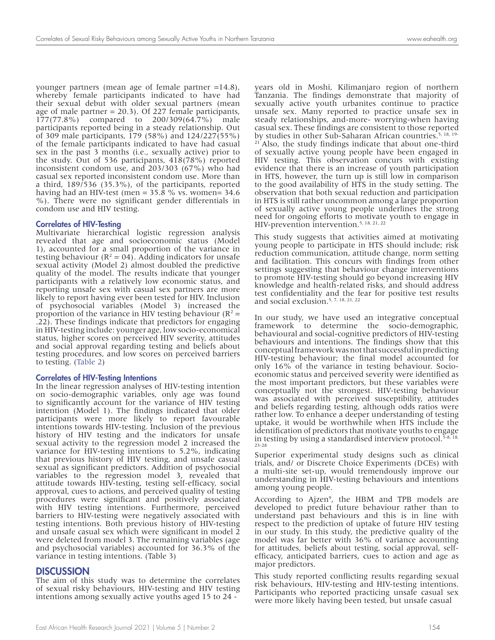younger partners (mean age of female partner =14.8), whereby female participants indicated to have had their sexual debut with older sexual partners (mean age of male partner = 20.3). Of 227 female participants, 177(77.8%) compared to 200/309(64.7%) male participants reported being in a steady relationship. Out of 309 male participants, 179 (58%) and 124/227(55%) of the female participants indicated to have had casual sex in the past 3 months (i.e., sexually active) prior to the study. Out of 536 participants, 418(78%) reported inconsistent condom use, and 203/303 (67%) who had casual sex reported inconsistent condom use. More than a third, 189/536 (35.3%), of the participants, reported having had an HIV-test (men =  $35.8$  % vs. women=  $34.6$ %). There were no significant gender differentials in condom use and HIV testing.

#### Correlates of HIV-Testing

Multivariate hierarchical logistic regression analysis revealed that age and socioeconomic status (Model 1), accounted for a small proportion of the variance in testing behaviour ( $R^2 = 04$ ). Adding indicators for unsafe sexual activity (Model 2) almost doubled the predictive quality of the model. The results indicate that younger participants with a relatively low economic status, and reporting unsafe sex with casual sex partners are more likely to report having ever been tested for HIV. Inclusion of psychosocial variables (Model 3) increased the proportion of the variance in HIV testing behaviour ( $\mathbb{R}^2$  = .22). These findings indicate that predictors for engaging in HIV-testing include: younger age, low socio-economical status, higher scores on perceived HIV severity, attitudes and social approval regarding testing and beliefs about testing procedures, and low scores on perceived barriers to testing. (Table 2)

#### Correlates of HIV-Testing Intentions

In the linear regression analyses of HIV-testing intention on socio-demographic variables, only age was found to significantly account for the variance of HIV testing intention (Model 1). The findings indicated that older participants were more likely to report favourable intentions towards HIV-testing. Inclusion of the previous history of HIV testing and the indicators for unsafe sexual activity to the regression model 2 increased the variance for HIV-testing intentions to 5.2%, indicating that previous history of HIV testing, and unsafe casual sexual as significant predictors. Addition of psychosocial variables to the regression model 3, revealed that attitude towards HIV-testing, testing self-efficacy, social approval, cues to actions, and perceived quality of testing procedures were significant and positively associated with HIV testing intentions. Furthermore, perceived barriers to HIV-testing were negatively associated with testing intentions. Both previous history of HIV-testing and unsafe casual sex which were significant in model 2 were deleted from model 3. The remaining variables (age and psychosocial variables) accounted for 36.3% of the variance in testing intentions. (Table 3)

#### **DISCUSSION**

The aim of this study was to determine the correlates of sexual risky behaviours, HIV-testing and HIV testing intentions among sexually active youths aged 15 to 24 -

years old in Moshi, Kilimanjaro region of northern Tanzania. The findings demonstrate that majority of sexually active youth urbanites continue to practice unsafe sex. Many reported to practice unsafe sex in steady relationships, and-more- worrying-when having casual sex. These findings are consistent to those reported by studies in other Sub-Saharan African countries.<sup>5, 18, 19-</sup> <sup>21</sup> Also, the study findings indicate that about one-third of sexually active young people have been engaged in HIV testing. This observation concurs with existing evidence that there is an increase of youth participation in HTS, however, the turn up is still low in comparison to the good availability of HTS in the study setting. The observation that both sexual reduction and participation in HTS is still rather uncommon among a large proportion of sexually active young people underlines the strong need for ongoing efforts to motivate youth to engage in HIV-prevention intervention.<sup>5, 18, 21, 22</sup>

This study suggests that activities aimed at motivating young people to participate in HTS should include; risk reduction communication, attitude change, norm setting and facilitation. This concurs with findings from other settings suggesting that behaviour change interventions to promote HIV-testing should go beyond increasing HIV knowledge and health-related risks, and should address test confidentiality and the fear for positive test results and social exclusion.5, 7, 18, 21, 22

In our study, we have used an integrative conceptual framework to determine the socio-demographic, behavioural and social-cognitive predictors of HIV-testing behaviours and intentions. The findings show that this conceptual framework was not that successful in predicting HIV-testing behaviour; the final model accounted for only 16% of the variance in testing behaviour. Socioeconomic status and perceived severity were identified as the most important predictors, but these variables were conceptually not the strongest. HIV-testing behaviour was associated with perceived susceptibility, attitudes and beliefs regarding testing, although odds ratios were rather low. To enhance a deeper understanding of testing uptake, it would be worthwhile when HTS include the identification of predictors that motivate youths to engage in testing by using a standardised interview protocol.<sup>5</sup> 23-28

Superior experimental study designs such as clinical trials, and/ or Discrete Choice Experiments (DCEs) with a multi-site set-up, would tremendously improve our understanding in HIV-testing behaviours and intentions among young people.

According to Ajzen<sup>9</sup>, the HBM and TPB models are developed to predict future behaviour rather than to understand past behaviours and this is in line with respect to the prediction of uptake of future HIV testing in our study. In this study, the predictive quality of the model was far better with 36% of variance accounting for attitudes, beliefs about testing, social approval, selfefficacy, anticipated barriers, cues to action and age as major predictors.

This study reported conflicting results regarding sexual risk behaviours, HIV-testing and HIV-testing intentions. Participants who reported practicing unsafe casual sex were more likely having been tested, but unsafe casual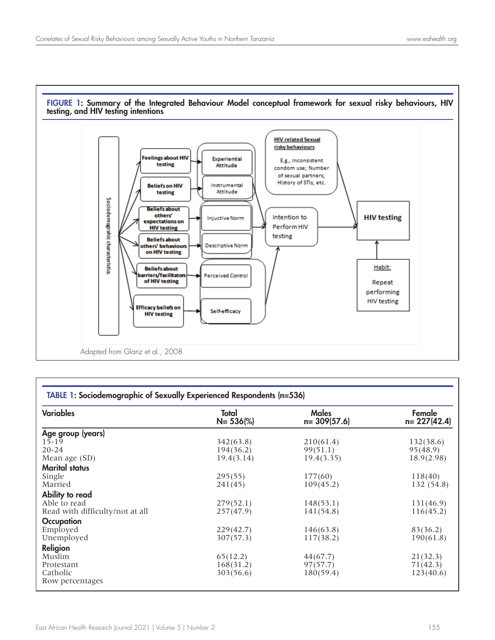

| FIGURE 1: Summary of the Integrated Behaviour Model conceptual framework for sexual risky behaviours, HIV |  |  |  |  |
|-----------------------------------------------------------------------------------------------------------|--|--|--|--|
| testing, and HIV testing intentions                                                                       |  |  |  |  |

| <b>Variables</b>                | Total<br>$N = 536\%$ | <b>Males</b><br>$n = 309(57.6)$ | Female<br>$n = 227(42.4)$ |  |
|---------------------------------|----------------------|---------------------------------|---------------------------|--|
| Age group (years)               |                      |                                 |                           |  |
| $15 - 19$                       | 342(63.8)            | 210(61.4)                       | 132(38.6)                 |  |
| $20 - 24$                       | 194(36.2)            | 99(51.1)                        | 95(48.9)                  |  |
| Mean age (SD)                   | 19.4(3.14)           | 19.4(3.35)                      | 18.9(2.98)                |  |
| <b>Marital status</b>           |                      |                                 |                           |  |
| Single                          | 295(55)              | 177(60)                         | 118(40)                   |  |
| Married                         | 241(45)              | 109(45.2)                       | 132 (54.8)                |  |
| Ability to read                 |                      |                                 |                           |  |
| Able to read                    | 279(52.1)            | 148(53.1)                       | 131(46.9)                 |  |
| Read with difficulty/not at all | 257(47.9)            | 141(54.8)                       | 116(45.2)                 |  |
| Occupation                      |                      |                                 |                           |  |
| Employed                        | 229(42.7)            | 146(63.8)                       | 83(36.2)                  |  |
| Unemployed                      | 307(57.3)            | 117(38.2)                       | 190(61.8)                 |  |
| Religion                        |                      |                                 |                           |  |
| Muslim                          | 65(12.2)             | 44(67.7)                        | 21(32.3)                  |  |
| Protestant                      | 168(31.2)            | 97(57.7)                        | 71(42.3)                  |  |
| Catholic                        | 303(56.6)            | 180(59.4)                       | 123(40.6)                 |  |
| Row percentages                 |                      |                                 |                           |  |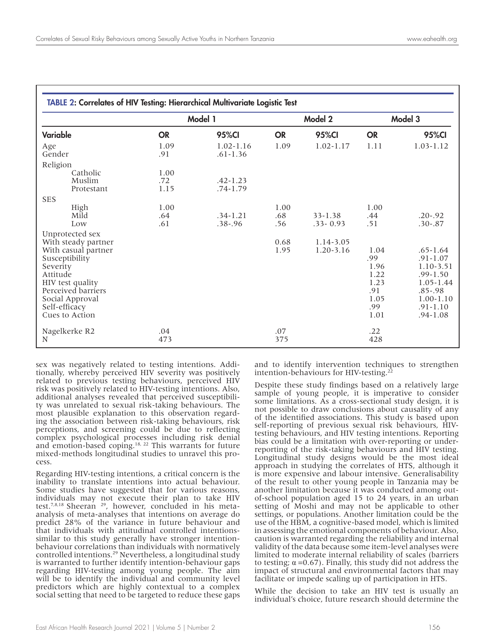| <b>TABLE 2: Correlates of HIV Testing: Hierarchical Multivariate Logistic Test</b>                                                                                                          |                     |                               |                    |                             |                                                                   |                                                                                                                                            |
|---------------------------------------------------------------------------------------------------------------------------------------------------------------------------------------------|---------------------|-------------------------------|--------------------|-----------------------------|-------------------------------------------------------------------|--------------------------------------------------------------------------------------------------------------------------------------------|
|                                                                                                                                                                                             | Model 1             |                               | Model 2            |                             | Model 3                                                           |                                                                                                                                            |
| Variable                                                                                                                                                                                    | <b>OR</b>           | <b>95%CI</b>                  | <b>OR</b>          | 95%CI                       | <b>OR</b>                                                         | 95%CI                                                                                                                                      |
| Age<br>Gender                                                                                                                                                                               | 1.09<br>.91         | $1.02 - 1.16$<br>$.61 - 1.36$ | 1.09               | $1.02 - 1.17$               | 1.11                                                              | $1.03 - 1.12$                                                                                                                              |
| Religion                                                                                                                                                                                    |                     |                               |                    |                             |                                                                   |                                                                                                                                            |
| Catholic<br>Muslim<br>Protestant                                                                                                                                                            | 1.00<br>.72<br>1.15 | $.42 - 1.23$<br>$.74 - 1.79$  |                    |                             |                                                                   |                                                                                                                                            |
| <b>SES</b>                                                                                                                                                                                  |                     |                               |                    |                             |                                                                   |                                                                                                                                            |
| High<br>Mild<br>Low                                                                                                                                                                         | 1.00<br>.64<br>.61  | $.34 - 1.21$<br>$.38 - .96$   | 1.00<br>.68<br>.56 | $33 - 1.38$<br>$.33 - 0.93$ | 1.00<br>.44<br>.51                                                | $.20 - .92$<br>$.30 - .87$                                                                                                                 |
| Unprotected sex                                                                                                                                                                             |                     |                               |                    |                             |                                                                   |                                                                                                                                            |
| With steady partner<br>With casual partner<br>Susceptibility<br>Severity<br>Attitude<br>HIV test quality<br>Perceived barriers<br>Social Approval<br>Self-efficacy<br><b>Cues to Action</b> |                     |                               | 0.68<br>1.95       | 1.14-3.05<br>1.20-3.16      | 1.04<br>.99<br>1.96<br>1.22<br>1.23<br>.91<br>1.05<br>.99<br>1.01 | $.65 - 1.64$<br>$.91 - 1.07$<br>1.10-3.51<br>$.99 - 1.50$<br>$1.05 - 1.44$<br>$.85 - .98$<br>$1.00 - 1.10$<br>$.91 - 1.10$<br>$.94 - 1.08$ |
| Nagelkerke R2<br>N                                                                                                                                                                          | .04<br>473          |                               | .07<br>375         |                             | .22<br>428                                                        |                                                                                                                                            |

sex was negatively related to testing intentions. Addi- tionally, whereby perceived HIV severity was positively related to previous testing behaviours, perceived HIV risk was positively related to HIV-testing intentions. Also, additional analyses revealed that perceived susceptibili- ty was unrelated to sexual risk-taking behaviours. The most plausible explanation to this observation regard- ing the association between risk-taking behaviours, risk perceptions, and screening could be due to reflecting complex psychological processes including risk denial and emotion-based coping.<sup>18, 22</sup> This warrants for future mixed-methods longitudinal studies to unravel this pro- cess.

Regarding HIV-testing intentions, a critical concern is the inability to translate intentions into actual behaviour. Some studies have suggested that for various reasons, individuals may not execute their plan to take HIV test.<sup>7,8,18</sup> Sheeran<sup>29</sup>, however, concluded in his metaanalysis of meta-analyses that intentions on average do predict 28% of the variance in future behaviour and that individuals with attitudinal controlled intentionssimilar to this study generally have stronger intentionbehaviour correlations than individuals with normatively controlled intentions.<sup>29</sup> Nevertheless, a longitudinal study is warranted to further identify intention-behaviour gaps regarding HIV-testing among young people. The aim will be to identify the individual and community level predictors which are highly contextual to a complex social setting that need to be targeted to reduce these gaps and to identify intervention techniques to strengthen intention-behaviours for HIV-testing.<sup>22</sup>

Despite these study findings based on a relatively large sample of young people, it is imperative to consider some limitations. As a cross-sectional study design, it is not possible to draw conclusions about causality of any of the identified associations. This study is based upon self-reporting of previous sexual risk behaviours, HIVtesting behaviours, and HIV testing intentions. Reporting bias could be a limitation with over-reporting or underreporting of the risk-taking behaviours and HIV testing. Longitudinal study designs would be the most ideal approach in studying the correlates of HTS, although it is more expensive and labour intensive. Generalisability of the result to other young people in Tanzania may be another limitation because it was conducted among outof-school population aged 15 to 24 years, in an urban setting of Moshi and may not be applicable to other settings, or populations. Another limitation could be the use of the HBM, a cognitive-based model, which is limited in assessing the emotional components of behaviour. Also, caution is warranted regarding the reliability and internal validity of the data because some item-level analyses were limited to moderate internal reliability of scales (barriers to testing; α =0.67). Finally, this study did not address the impact of structural and environmental factors that may facilitate or impede scaling up of participation in HTS.

While the decision to take an HIV test is usually an individual's choice, future research should determine the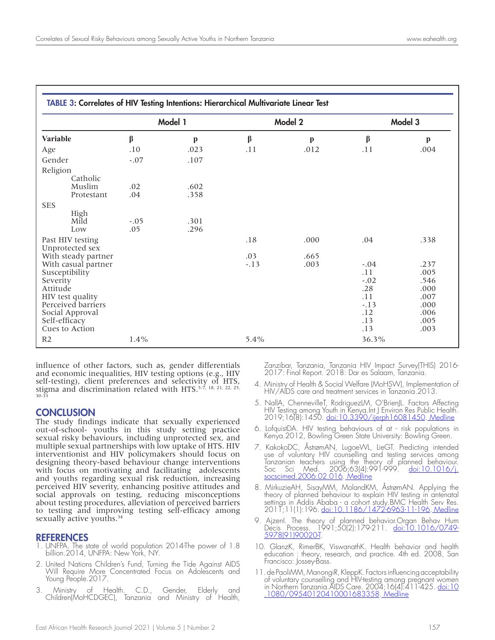| TABLE 3: Correlates of HIV Testing Intentions: Hierarchical Multivariate Linear Test                                                                                 |               |              |         |              |                                                                      |                                                                      |  |
|----------------------------------------------------------------------------------------------------------------------------------------------------------------------|---------------|--------------|---------|--------------|----------------------------------------------------------------------|----------------------------------------------------------------------|--|
| <b>Variable</b>                                                                                                                                                      |               | Model 1      |         | Model 2      |                                                                      | Model 3                                                              |  |
|                                                                                                                                                                      | β             | $\mathbf{p}$ | $\beta$ | $\mathbf{p}$ | β                                                                    | $\mathbf{p}$                                                         |  |
| Age                                                                                                                                                                  | .10           | .023         | .11     | .012         | .11                                                                  | .004                                                                 |  |
| Gender                                                                                                                                                               | $-.07$        | .107         |         |              |                                                                      |                                                                      |  |
| Religion<br>Catholic<br>Muslim<br>Protestant                                                                                                                         | .02<br>.04    | .602<br>.358 |         |              |                                                                      |                                                                      |  |
| <b>SES</b>                                                                                                                                                           |               |              |         |              |                                                                      |                                                                      |  |
| High<br>Mild<br>Low                                                                                                                                                  | $-.05$<br>.05 | .301<br>.296 |         |              |                                                                      |                                                                      |  |
| Past HIV testing<br>Unprotected sex                                                                                                                                  |               |              | .18     | .000         | .04                                                                  | .338                                                                 |  |
| With steady partner                                                                                                                                                  |               |              | .03     | .665         |                                                                      |                                                                      |  |
| With casual partner<br>Susceptibility<br>Severity<br>Attitude<br>HIV test quality<br>Perceived barriers<br>Social Approval<br>Self-efficacy<br><b>Cues to Action</b> |               |              | $-.13$  | .003         | $-.04$<br>.11<br>$-.02$<br>.28<br>.11<br>$-.13$<br>.12<br>.13<br>.13 | .237<br>.005<br>.546<br>.000<br>.007<br>.000<br>.006<br>.005<br>.003 |  |
| R <sub>2</sub>                                                                                                                                                       | $1.4\%$       |              | $5.4\%$ |              | 36.3%                                                                |                                                                      |  |

influence of other factors, such as, gender differentials and economic inequalities, HIV testing options (e.g., HIV self-testing), client preferences and selectivity of HTS, stigma and discrimination related with HTS.<sup>5-7, 18, 21, 22, 25,</sup>  $30 - 3$ 

#### **CONCLUSION**

The study findings indicate that sexually experienced out-of-school- youths in this study setting practice sexual risky behaviours, including unprotected sex, and multiple sexual partnerships with low uptake of HTS. HIV interventionist and HIV policymakers should focus on designing theory-based behaviour change interventions with focus on motivating and facilitating adolescents and youths regarding sexual risk reduction, increasing perceived HIV severity, enhancing positive attitudes and social approvals on testing, reducing misconceptions about testing procedures, alleviation of perceived barriers to testing and improving testing self-efficacy among sexually active youths.<sup>34</sup>

# **REFERENCES**<br>1. UNFPA. The st

- 1. UNFPA. The state of world population 2014-The power of 1.8 billion.2014, UNFPA: New York, NY.
- 2. United Nations Children's Fund, Turning the Tide Against AIDS Will Require More Concentrated Focus on Adolescents and Young People.2017.
- 3. Ministry of Health. C.D., Gender, Elderly and Children(MoHCDGEC), Tanzania and Ministry of Health,

Zanzibar, Tanzania, Tanzania HIV Impact Survey(THIS) 2016- 2017: Final Report. 2018: Dar es Salaam, Tanzania.

- 4. Ministry of Health & Social Welfare (MoHSW), Implementation of HIV/AIDS care and treatment services in Tanzania.2013.
- 5. NallA, ChennevilleT, RodriguezLM, O'BrienJL. Factors Affecting HIV Testing among Youth in Kenya.Int J Environ Res Public Health. 2019;16(8):1450. doi:10.3390/ijerph16081450. Medline
- 6. LofquistDA. HIV testing behaviours of at risk populations in Kenya.2012, Bowling Green State University: Bowling Green.
- 7. KakokoDC, ÅstrømAN, LugoeWL, LieGT. Predicting intended use of voluntary HIV counselling and testing services among Tanzanian teachers using the theory of planned behaviour. Soc Sci Med. 2006;63(4):991-999. <u>doi:10.1016/j.</u> socscimed.2006.02.016. Medline
- 8. MirkuzieAH, SisayMM, MolandKM, ÅstrømAN. Applying the theory of planned behaviour to explain HIV testing in antenatal settings in Addis Ababa - a cohort study.BMC Health Serv Res. 2011;11(1):196. <u>doi:10.1186/1472<del>'</del>6963-11-196</u>. <u>Medline</u>
- 9. AjzenI. The theory of planned behavior.Organ Behav Hum Decis Process. 1991;50(2):179-211. <u>doi:10.1016/0749</u>-5978(91)90020-T.
- 10. GlanzK, RimerBK, ViswanathK. Health behavior and health education : theory, research, and practice. 4th ed. 2008, San Francisco: Jossey-Bass.
- 11. de PaoliMM, ManongiR, KleppK. Factors influencing acceptability of voluntary counselling and HIV-testing among pregnant women in Northern Tanzania.AIDS Care. 2004;16(4):411-425. <u>doi:10</u> .1080/09540120410001683358. Medline